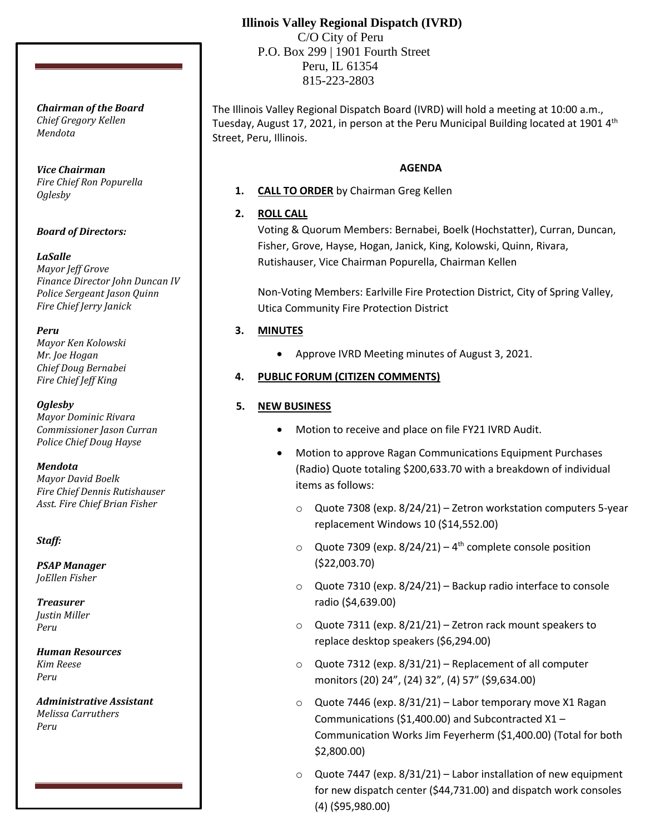# **Illinois Valley Regional Dispatch (IVRD)**

 C/O City of Peru P.O. Box 299 | 1901 Fourth Street Peru, IL 61354 815-223-2803

The Illinois Valley Regional Dispatch Board (IVRD) will hold a meeting at 10:00 a.m., Tuesday, August 17, 2021, in person at the Peru Municipal Building located at 1901  $4<sup>th</sup>$ Street, Peru, Illinois.

### **AGENDA**

**1. CALL TO ORDER** by Chairman Greg Kellen

# **2. ROLL CALL**

Voting & Quorum Members: Bernabei, Boelk (Hochstatter), Curran, Duncan, Fisher, Grove, Hayse, Hogan, Janick, King, Kolowski, Quinn, Rivara, Rutishauser, Vice Chairman Popurella, Chairman Kellen

Non-Voting Members: Earlville Fire Protection District, City of Spring Valley, Utica Community Fire Protection District

## **3. MINUTES**

• Approve IVRD Meeting minutes of August 3, 2021.

## **4. PUBLIC FORUM (CITIZEN COMMENTS)**

## **5. NEW BUSINESS**

- Motion to receive and place on file FY21 IVRD Audit.
- Motion to approve Ragan Communications Equipment Purchases (Radio) Quote totaling \$200,633.70 with a breakdown of individual items as follows:
	- o Quote 7308 (exp. 8/24/21) Zetron workstation computers 5-year replacement Windows 10 (\$14,552.00)
	- $\circ$  Quote 7309 (exp. 8/24/21) 4<sup>th</sup> complete console position (\$22,003.70)
	- $\circ$  Quote 7310 (exp. 8/24/21) Backup radio interface to console radio (\$4,639.00)
	- o Quote 7311 (exp. 8/21/21) Zetron rack mount speakers to replace desktop speakers (\$6,294.00)
	- o Quote 7312 (exp. 8/31/21) Replacement of all computer monitors (20) 24", (24) 32", (4) 57" (\$9,634.00)
	- $\circ$  Quote 7446 (exp. 8/31/21) Labor temporary move X1 Ragan Communications (\$1,400.00) and Subcontracted X1 – Communication Works Jim Feyerherm (\$1,400.00) (Total for both \$2,800.00)
	- $\circ$  Quote 7447 (exp. 8/31/21) Labor installation of new equipment for new dispatch center (\$44,731.00) and dispatch work consoles (4) (\$95,980.00)

*Chairman of the Board Chief Gregory Kellen Mendota*

*Vice Chairman Fire Chief Ron Popurella Oglesby*

## *Board of Directors:*

## *LaSalle*

*Mayor Jeff Grove Finance Director John Duncan IV Police Sergeant Jason Quinn Fire Chief Jerry Janick*

*Peru*

*Mayor Ken Kolowski Mr. Joe Hogan Chief Doug Bernabei Fire Chief Jeff King*

*Oglesby Mayor Dominic Rivara Commissioner Jason Curran Police Chief Doug Hayse*

*Mendota Mayor David Boelk Fire Chief Dennis Rutishauser Asst. Fire Chief Brian Fisher*

## *Staff:*

*PSAP Manager JoEllen Fisher*

*Treasurer Justin Miller Peru*

*Human Resources Kim Reese Peru*

*Administrative Assistant Melissa Carruthers Peru*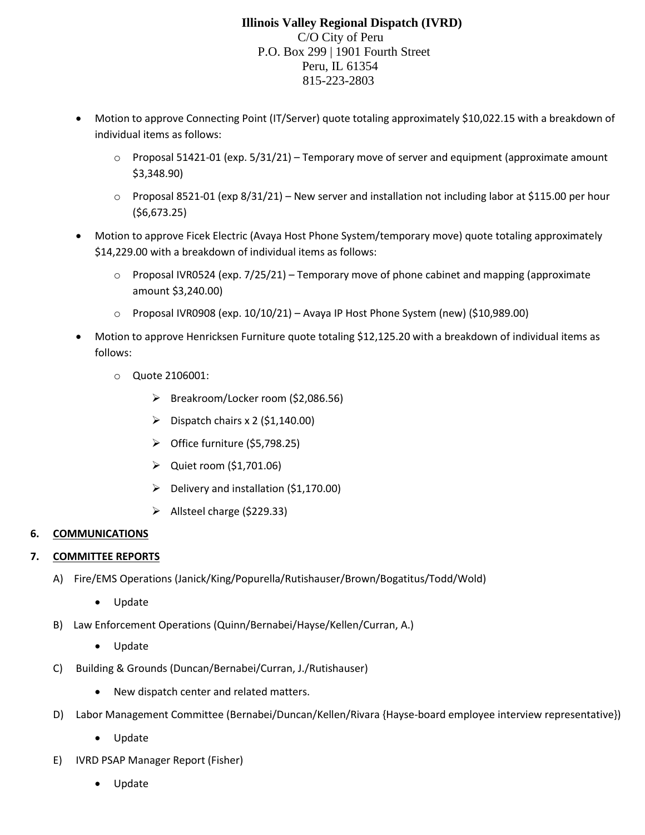# **Illinois Valley Regional Dispatch (IVRD)** C/O City of Peru P.O. Box 299 | 1901 Fourth Street Peru, IL 61354 815-223-2803

- Motion to approve Connecting Point (IT/Server) quote totaling approximately \$10,022.15 with a breakdown of individual items as follows:
	- $\circ$  Proposal 51421-01 (exp. 5/31/21) Temporary move of server and equipment (approximate amount \$3,348.90)
	- $\circ$  Proposal 8521-01 (exp 8/31/21) New server and installation not including labor at \$115.00 per hour (\$6,673.25)
- Motion to approve Ficek Electric (Avaya Host Phone System/temporary move) quote totaling approximately \$14,229.00 with a breakdown of individual items as follows:
	- $\circ$  Proposal IVR0524 (exp. 7/25/21) Temporary move of phone cabinet and mapping (approximate amount \$3,240.00)
	- o Proposal IVR0908 (exp. 10/10/21) Avaya IP Host Phone System (new) (\$10,989.00)
- Motion to approve Henricksen Furniture quote totaling \$12,125.20 with a breakdown of individual items as follows:
	- o Quote 2106001:
		- ➢ Breakroom/Locker room (\$2,086.56)
		- $\triangleright$  Dispatch chairs x 2 (\$1,140.00)
		- ➢ Office furniture (\$5,798.25)
		- $\triangleright$  Quiet room (\$1,701.06)
		- $\triangleright$  Delivery and installation (\$1,170.00)
		- ➢ Allsteel charge (\$229.33)

## **6. COMMUNICATIONS**

## **7. COMMITTEE REPORTS**

- A) Fire/EMS Operations (Janick/King/Popurella/Rutishauser/Brown/Bogatitus/Todd/Wold)
	- Update
- B) Law Enforcement Operations (Quinn/Bernabei/Hayse/Kellen/Curran, A.)
	- Update
- C) Building & Grounds (Duncan/Bernabei/Curran, J./Rutishauser)
	- New dispatch center and related matters.
- D) Labor Management Committee (Bernabei/Duncan/Kellen/Rivara {Hayse-board employee interview representative})
	- Update
- E) IVRD PSAP Manager Report (Fisher)
	- Update